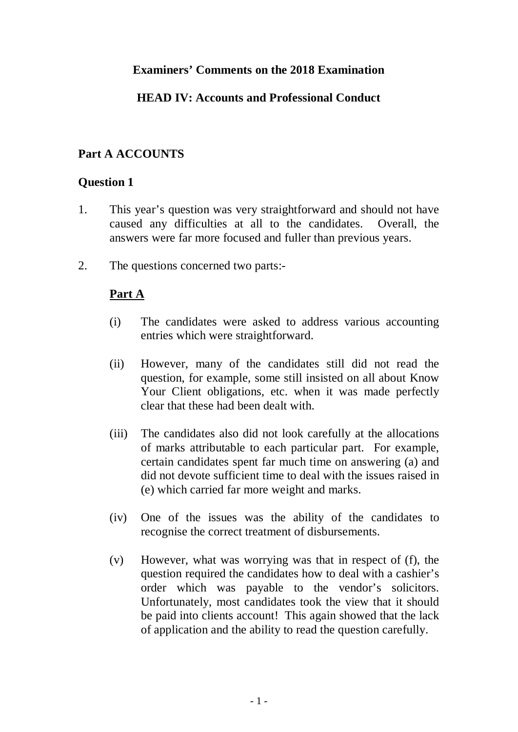### **Examiners' Comments on the 2018 Examination**

## **HEAD IV: Accounts and Professional Conduct**

## **Part A ACCOUNTS**

### **Question 1**

- 1. This year's question was very straightforward and should not have caused any difficulties at all to the candidates. Overall, the answers were far more focused and fuller than previous years.
- 2. The questions concerned two parts:-

## **Part A**

- (i) The candidates were asked to address various accounting entries which were straightforward.
- (ii) However, many of the candidates still did not read the question, for example, some still insisted on all about Know Your Client obligations, etc. when it was made perfectly clear that these had been dealt with.
- (iii) The candidates also did not look carefully at the allocations of marks attributable to each particular part. For example, certain candidates spent far much time on answering (a) and did not devote sufficient time to deal with the issues raised in (e) which carried far more weight and marks.
- (iv) One of the issues was the ability of the candidates to recognise the correct treatment of disbursements.
- (v) However, what was worrying was that in respect of (f), the question required the candidates how to deal with a cashier's order which was payable to the vendor's solicitors. Unfortunately, most candidates took the view that it should be paid into clients account! This again showed that the lack of application and the ability to read the question carefully.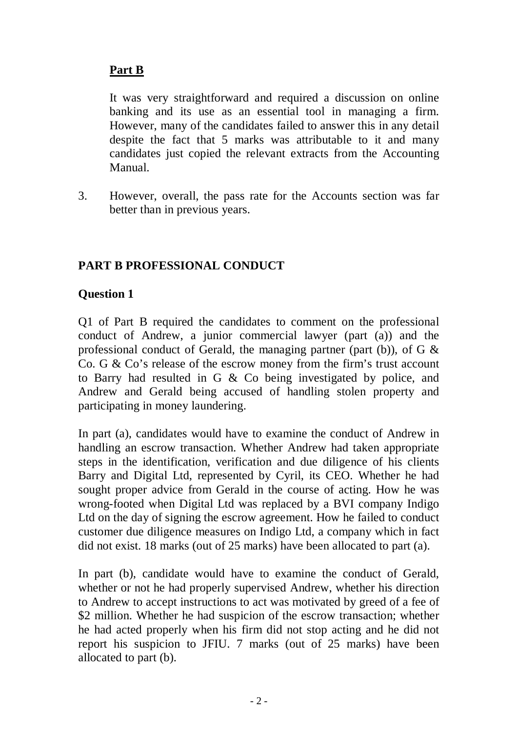# **Part B**

It was very straightforward and required a discussion on online banking and its use as an essential tool in managing a firm. However, many of the candidates failed to answer this in any detail despite the fact that 5 marks was attributable to it and many candidates just copied the relevant extracts from the Accounting Manual.

3. However, overall, the pass rate for the Accounts section was far better than in previous years.

## **PART B PROFESSIONAL CONDUCT**

## **Question 1**

Q1 of Part B required the candidates to comment on the professional conduct of Andrew, a junior commercial lawyer (part (a)) and the professional conduct of Gerald, the managing partner (part (b)), of  $G \&$ Co. G & Co's release of the escrow money from the firm's trust account to Barry had resulted in G & Co being investigated by police, and Andrew and Gerald being accused of handling stolen property and participating in money laundering.

In part (a), candidates would have to examine the conduct of Andrew in handling an escrow transaction. Whether Andrew had taken appropriate steps in the identification, verification and due diligence of his clients Barry and Digital Ltd, represented by Cyril, its CEO. Whether he had sought proper advice from Gerald in the course of acting. How he was wrong-footed when Digital Ltd was replaced by a BVI company Indigo Ltd on the day of signing the escrow agreement. How he failed to conduct customer due diligence measures on Indigo Ltd, a company which in fact did not exist. 18 marks (out of 25 marks) have been allocated to part (a).

In part (b), candidate would have to examine the conduct of Gerald, whether or not he had properly supervised Andrew, whether his direction to Andrew to accept instructions to act was motivated by greed of a fee of \$2 million. Whether he had suspicion of the escrow transaction; whether he had acted properly when his firm did not stop acting and he did not report his suspicion to JFIU. 7 marks (out of 25 marks) have been allocated to part (b).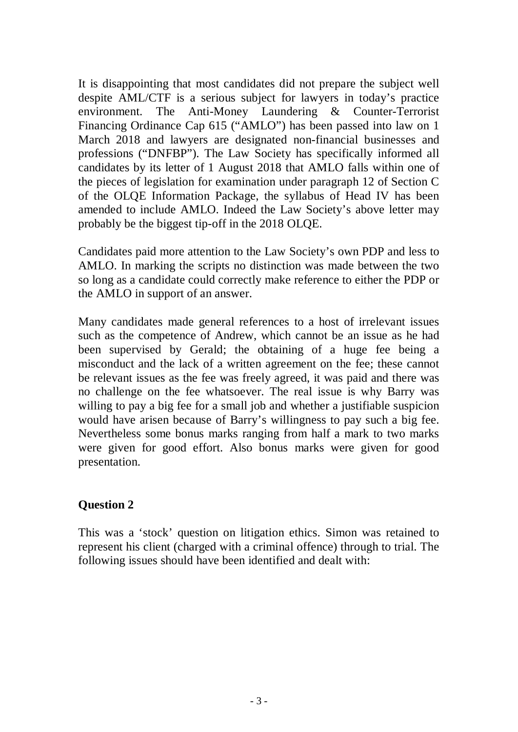It is disappointing that most candidates did not prepare the subject well despite AML/CTF is a serious subject for lawyers in today's practice environment. The Anti-Money Laundering & Counter-Terrorist Financing Ordinance Cap 615 ("AMLO") has been passed into law on 1 March 2018 and lawyers are designated non-financial businesses and professions ("DNFBP"). The Law Society has specifically informed all candidates by its letter of 1 August 2018 that AMLO falls within one of the pieces of legislation for examination under paragraph 12 of Section C of the OLQE Information Package, the syllabus of Head IV has been amended to include AMLO. Indeed the Law Society's above letter may probably be the biggest tip-off in the 2018 OLQE.

Candidates paid more attention to the Law Society's own PDP and less to AMLO. In marking the scripts no distinction was made between the two so long as a candidate could correctly make reference to either the PDP or the AMLO in support of an answer.

Many candidates made general references to a host of irrelevant issues such as the competence of Andrew, which cannot be an issue as he had been supervised by Gerald; the obtaining of a huge fee being a misconduct and the lack of a written agreement on the fee; these cannot be relevant issues as the fee was freely agreed, it was paid and there was no challenge on the fee whatsoever. The real issue is why Barry was willing to pay a big fee for a small job and whether a justifiable suspicion would have arisen because of Barry's willingness to pay such a big fee. Nevertheless some bonus marks ranging from half a mark to two marks were given for good effort. Also bonus marks were given for good presentation.

### **Question 2**

This was a 'stock' question on litigation ethics. Simon was retained to represent his client (charged with a criminal offence) through to trial. The following issues should have been identified and dealt with: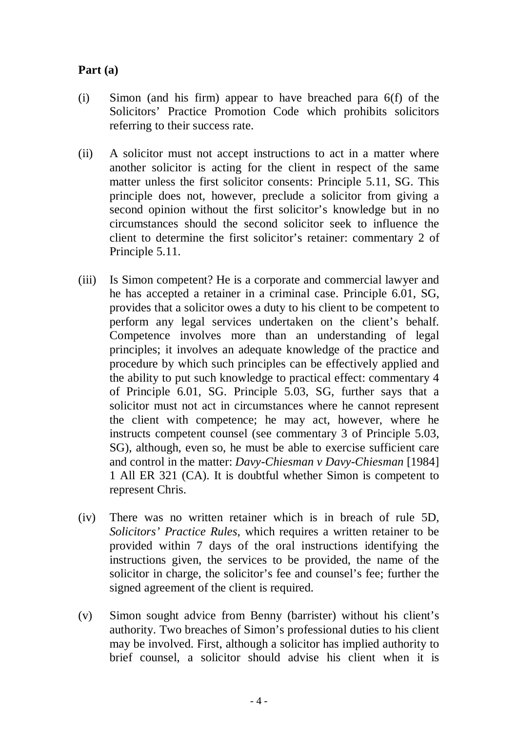## **Part (a)**

- (i) Simon (and his firm) appear to have breached para 6(f) of the Solicitors' Practice Promotion Code which prohibits solicitors referring to their success rate.
- (ii) A solicitor must not accept instructions to act in a matter where another solicitor is acting for the client in respect of the same matter unless the first solicitor consents: Principle 5.11, SG. This principle does not, however, preclude a solicitor from giving a second opinion without the first solicitor's knowledge but in no circumstances should the second solicitor seek to influence the client to determine the first solicitor's retainer: commentary 2 of Principle 5.11.
- (iii) Is Simon competent? He is a corporate and commercial lawyer and he has accepted a retainer in a criminal case. Principle 6.01, SG, provides that a solicitor owes a duty to his client to be competent to perform any legal services undertaken on the client's behalf. Competence involves more than an understanding of legal principles; it involves an adequate knowledge of the practice and procedure by which such principles can be effectively applied and the ability to put such knowledge to practical effect: commentary 4 of Principle 6.01, SG. Principle 5.03, SG, further says that a solicitor must not act in circumstances where he cannot represent the client with competence; he may act, however, where he instructs competent counsel (see commentary 3 of Principle 5.03, SG), although, even so, he must be able to exercise sufficient care and control in the matter: *Davy-Chiesman v Davy-Chiesman* [1984] 1 All ER 321 (CA). It is doubtful whether Simon is competent to represent Chris.
- (iv) There was no written retainer which is in breach of rule 5D, *Solicitors' Practice Rules*, which requires a written retainer to be provided within 7 days of the oral instructions identifying the instructions given, the services to be provided, the name of the solicitor in charge, the solicitor's fee and counsel's fee; further the signed agreement of the client is required.
- (v) Simon sought advice from Benny (barrister) without his client's authority. Two breaches of Simon's professional duties to his client may be involved. First, although a solicitor has implied authority to brief counsel, a solicitor should advise his client when it is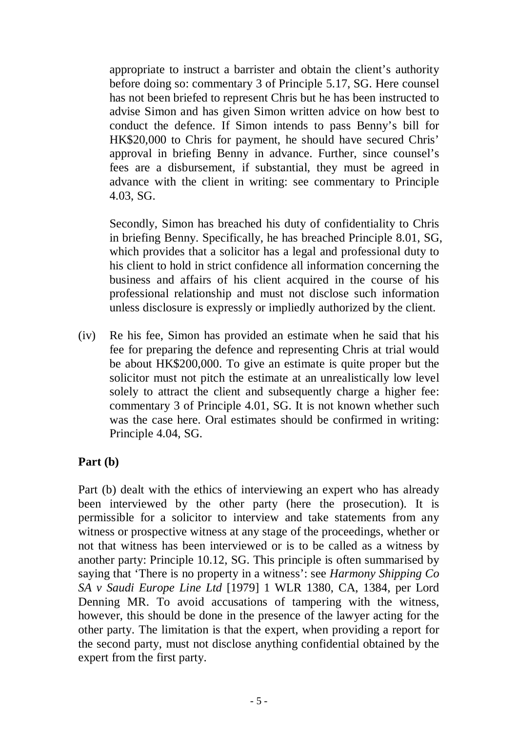appropriate to instruct a barrister and obtain the client's authority before doing so: commentary 3 of Principle 5.17, SG. Here counsel has not been briefed to represent Chris but he has been instructed to advise Simon and has given Simon written advice on how best to conduct the defence. If Simon intends to pass Benny's bill for HK\$20,000 to Chris for payment, he should have secured Chris' approval in briefing Benny in advance. Further, since counsel's fees are a disbursement, if substantial, they must be agreed in advance with the client in writing: see commentary to Principle 4.03, SG.

Secondly, Simon has breached his duty of confidentiality to Chris in briefing Benny. Specifically, he has breached Principle 8.01, SG, which provides that a solicitor has a legal and professional duty to his client to hold in strict confidence all information concerning the business and affairs of his client acquired in the course of his professional relationship and must not disclose such information unless disclosure is expressly or impliedly authorized by the client.

(iv) Re his fee, Simon has provided an estimate when he said that his fee for preparing the defence and representing Chris at trial would be about HK\$200,000. To give an estimate is quite proper but the solicitor must not pitch the estimate at an unrealistically low level solely to attract the client and subsequently charge a higher fee: commentary 3 of Principle 4.01, SG. It is not known whether such was the case here. Oral estimates should be confirmed in writing: Principle 4.04, SG.

## **Part (b)**

Part (b) dealt with the ethics of interviewing an expert who has already been interviewed by the other party (here the prosecution). It is permissible for a solicitor to interview and take statements from any witness or prospective witness at any stage of the proceedings, whether or not that witness has been interviewed or is to be called as a witness by another party: Principle 10.12, SG. This principle is often summarised by saying that 'There is no property in a witness': see *Harmony Shipping Co SA v Saudi Europe Line Ltd* [1979] 1 WLR 1380, CA, 1384, per Lord Denning MR. To avoid accusations of tampering with the witness, however, this should be done in the presence of the lawyer acting for the other party. The limitation is that the expert, when providing a report for the second party, must not disclose anything confidential obtained by the expert from the first party.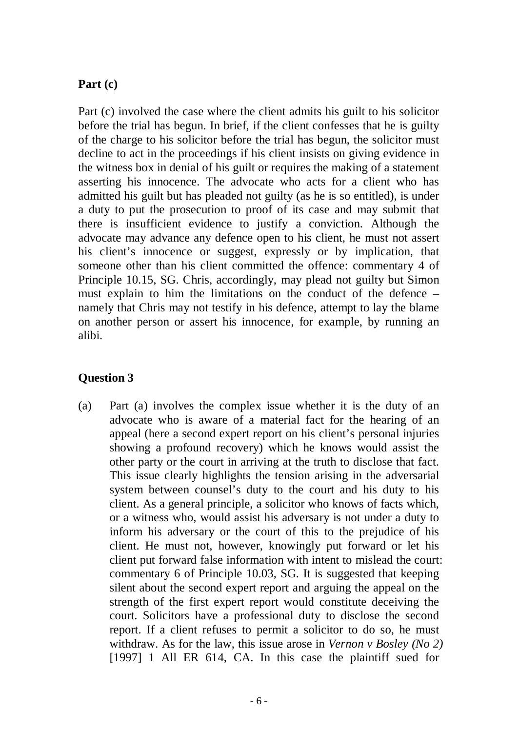### **Part (c)**

Part (c) involved the case where the client admits his guilt to his solicitor before the trial has begun. In brief, if the client confesses that he is guilty of the charge to his solicitor before the trial has begun, the solicitor must decline to act in the proceedings if his client insists on giving evidence in the witness box in denial of his guilt or requires the making of a statement asserting his innocence. The advocate who acts for a client who has admitted his guilt but has pleaded not guilty (as he is so entitled), is under a duty to put the prosecution to proof of its case and may submit that there is insufficient evidence to justify a conviction. Although the advocate may advance any defence open to his client, he must not assert his client's innocence or suggest, expressly or by implication, that someone other than his client committed the offence: commentary 4 of Principle 10.15, SG. Chris, accordingly, may plead not guilty but Simon must explain to him the limitations on the conduct of the defence – namely that Chris may not testify in his defence, attempt to lay the blame on another person or assert his innocence, for example, by running an alibi.

### **Question 3**

(a) Part (a) involves the complex issue whether it is the duty of an advocate who is aware of a material fact for the hearing of an appeal (here a second expert report on his client's personal injuries showing a profound recovery) which he knows would assist the other party or the court in arriving at the truth to disclose that fact. This issue clearly highlights the tension arising in the adversarial system between counsel's duty to the court and his duty to his client. As a general principle, a solicitor who knows of facts which, or a witness who, would assist his adversary is not under a duty to inform his adversary or the court of this to the prejudice of his client. He must not, however, knowingly put forward or let his client put forward false information with intent to mislead the court: commentary 6 of Principle 10.03, SG. It is suggested that keeping silent about the second expert report and arguing the appeal on the strength of the first expert report would constitute deceiving the court. Solicitors have a professional duty to disclose the second report. If a client refuses to permit a solicitor to do so, he must withdraw. As for the law, this issue arose in *Vernon v Bosley (No 2)* [1997] 1 All ER 614, CA. In this case the plaintiff sued for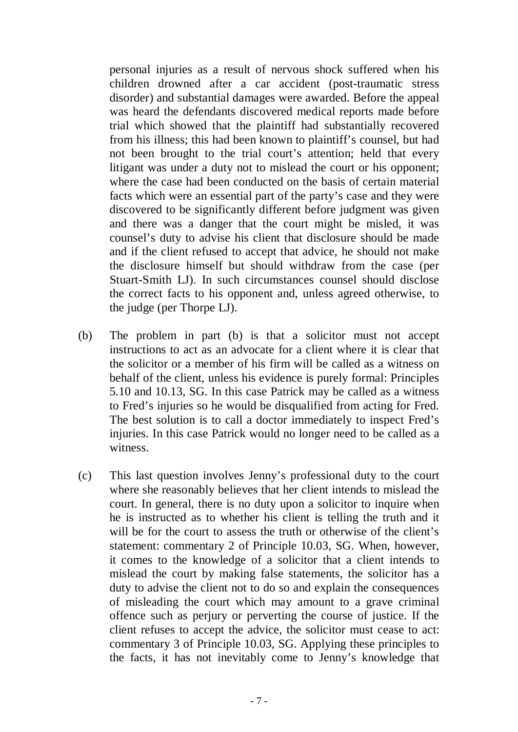personal injuries as a result of nervous shock suffered when his children drowned after a car accident (post-traumatic stress disorder) and substantial damages were awarded. Before the appeal was heard the defendants discovered medical reports made before trial which showed that the plaintiff had substantially recovered from his illness; this had been known to plaintiff's counsel, but had not been brought to the trial court's attention; held that every litigant was under a duty not to mislead the court or his opponent; where the case had been conducted on the basis of certain material facts which were an essential part of the party's case and they were discovered to be significantly different before judgment was given and there was a danger that the court might be misled, it was counsel's duty to advise his client that disclosure should be made and if the client refused to accept that advice, he should not make the disclosure himself but should withdraw from the case (per Stuart-Smith LJ). In such circumstances counsel should disclose the correct facts to his opponent and, unless agreed otherwise, to the judge (per Thorpe LJ).

- (b) The problem in part (b) is that a solicitor must not accept instructions to act as an advocate for a client where it is clear that the solicitor or a member of his firm will be called as a witness on behalf of the client, unless his evidence is purely formal: Principles 5.10 and 10.13, SG. In this case Patrick may be called as a witness to Fred's injuries so he would be disqualified from acting for Fred. The best solution is to call a doctor immediately to inspect Fred's injuries. In this case Patrick would no longer need to be called as a witness.
- (c) This last question involves Jenny's professional duty to the court where she reasonably believes that her client intends to mislead the court. In general, there is no duty upon a solicitor to inquire when he is instructed as to whether his client is telling the truth and it will be for the court to assess the truth or otherwise of the client's statement: commentary 2 of Principle 10.03, SG. When, however, it comes to the knowledge of a solicitor that a client intends to mislead the court by making false statements, the solicitor has a duty to advise the client not to do so and explain the consequences of misleading the court which may amount to a grave criminal offence such as perjury or perverting the course of justice. If the client refuses to accept the advice, the solicitor must cease to act: commentary 3 of Principle 10.03, SG. Applying these principles to the facts, it has not inevitably come to Jenny's knowledge that